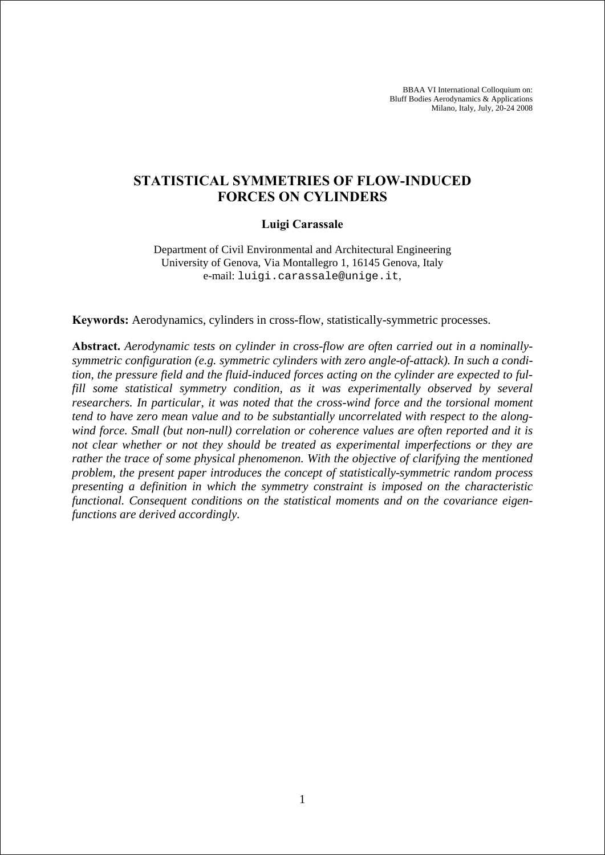BBAA VI International Colloquium on: Bluff Bodies Aerodynamics & Applications Milano, Italy, July, 20-24 2008

# **STATISTICAL SYMMETRIES OF FLOW-INDUCED FORCES ON CYLINDERS**

## **Luigi Carassale**

Department of Civil Environmental and Architectural Engineering University of Genova, Via Montallegro 1, 16145 Genova, Italy e-mail: luigi.carassale@unige.it,

**Keywords:** Aerodynamics, cylinders in cross-flow, statistically-symmetric processes.

**Abstract.** *Aerodynamic tests on cylinder in cross-flow are often carried out in a nominallysymmetric configuration (e.g. symmetric cylinders with zero angle-of-attack). In such a condition, the pressure field and the fluid-induced forces acting on the cylinder are expected to ful*fill some statistical symmetry condition, as it was experimentally observed by several *researchers. In particular, it was noted that the cross-wind force and the torsional moment tend to have zero mean value and to be substantially uncorrelated with respect to the alongwind force. Small (but non-null) correlation or coherence values are often reported and it is not clear whether or not they should be treated as experimental imperfections or they are rather the trace of some physical phenomenon. With the objective of clarifying the mentioned problem, the present paper introduces the concept of statistically-symmetric random process presenting a definition in which the symmetry constraint is imposed on the characteristic functional. Consequent conditions on the statistical moments and on the covariance eigenfunctions are derived accordingly.*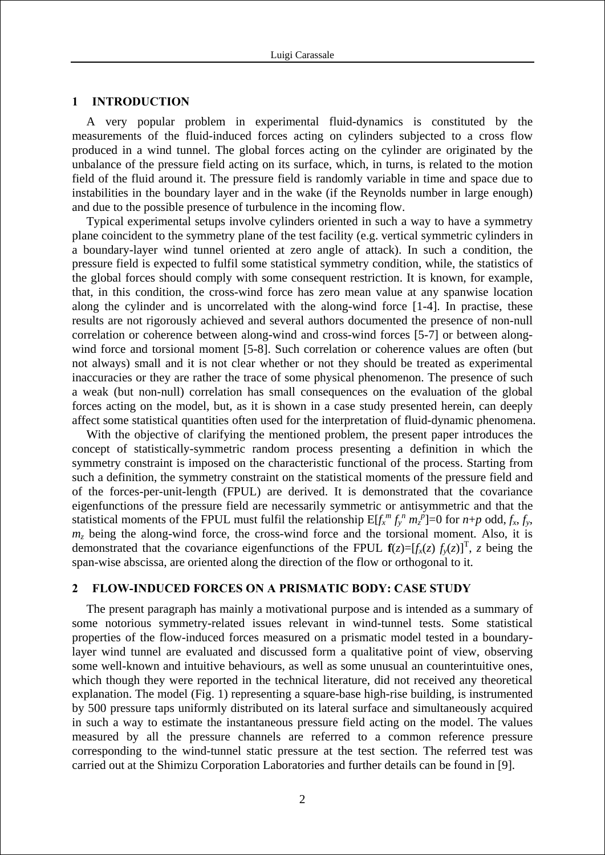#### **1 INTRODUCTION**

A very popular problem in experimental fluid-dynamics is constituted by the measurements of the fluid-induced forces acting on cylinders subjected to a cross flow produced in a wind tunnel. The global forces acting on the cylinder are originated by the unbalance of the pressure field acting on its surface, which, in turns, is related to the motion field of the fluid around it. The pressure field is randomly variable in time and space due to instabilities in the boundary layer and in the wake (if the Reynolds number in large enough) and due to the possible presence of turbulence in the incoming flow.

Typical experimental setups involve cylinders oriented in such a way to have a symmetry plane coincident to the symmetry plane of the test facility (e.g. vertical symmetric cylinders in a boundary-layer wind tunnel oriented at zero angle of attack). In such a condition, the pressure field is expected to fulfil some statistical symmetry condition, while, the statistics of the global forces should comply with some consequent restriction. It is known, for example, that, in this condition, the cross-wind force has zero mean value at any spanwise location along the cylinder and is uncorrelated with the along-wind force [1-4]. In practise, these results are not rigorously achieved and several authors documented the presence of non-null correlation or coherence between along-wind and cross-wind forces [5-7] or between alongwind force and torsional moment [5-8]. Such correlation or coherence values are often (but not always) small and it is not clear whether or not they should be treated as experimental inaccuracies or they are rather the trace of some physical phenomenon. The presence of such a weak (but non-null) correlation has small consequences on the evaluation of the global forces acting on the model, but, as it is shown in a case study presented herein, can deeply affect some statistical quantities often used for the interpretation of fluid-dynamic phenomena.

With the objective of clarifying the mentioned problem, the present paper introduces the concept of statistically-symmetric random process presenting a definition in which the symmetry constraint is imposed on the characteristic functional of the process. Starting from such a definition, the symmetry constraint on the statistical moments of the pressure field and of the forces-per-unit-length (FPUL) are derived. It is demonstrated that the covariance eigenfunctions of the pressure field are necessarily symmetric or antisymmetric and that the statistical moments of the FPUL must fulfil the relationship  $E[f_x^m f_y^m m_z^p]=0$  for  $n+p$  odd,  $f_x, f_y$ ,  $m<sub>z</sub>$  being the along-wind force, the cross-wind force and the torsional moment. Also, it is demonstrated that the covariance eigenfunctions of the FPUL  $f(z)=[f_x(z) f_y(z)]^T$ , *z* being the span-wise abscissa, are oriented along the direction of the flow or orthogonal to it.

# **2 FLOW-INDUCED FORCES ON A PRISMATIC BODY: CASE STUDY**

The present paragraph has mainly a motivational purpose and is intended as a summary of some notorious symmetry-related issues relevant in wind-tunnel tests. Some statistical properties of the flow-induced forces measured on a prismatic model tested in a boundarylayer wind tunnel are evaluated and discussed form a qualitative point of view, observing some well-known and intuitive behaviours, as well as some unusual an counterintuitive ones, which though they were reported in the technical literature, did not received any theoretical explanation. The model (Fig. 1) representing a square-base high-rise building, is instrumented by 500 pressure taps uniformly distributed on its lateral surface and simultaneously acquired in such a way to estimate the instantaneous pressure field acting on the model. The values measured by all the pressure channels are referred to a common reference pressure corresponding to the wind-tunnel static pressure at the test section. The referred test was carried out at the Shimizu Corporation Laboratories and further details can be found in [9].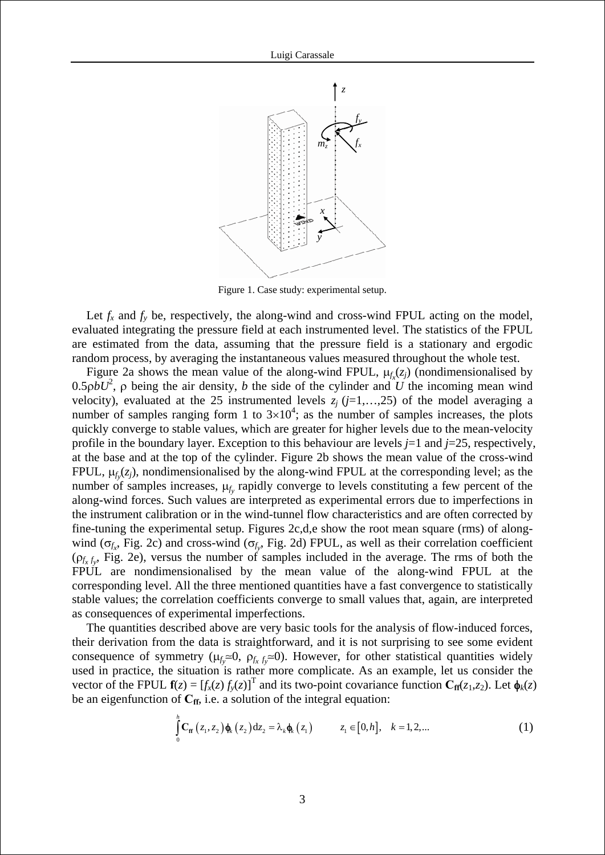

Figure 1. Case study: experimental setup.

Let  $f_x$  and  $f_y$  be, respectively, the along-wind and cross-wind FPUL acting on the model, evaluated integrating the pressure field at each instrumented level. The statistics of the FPUL are estimated from the data, assuming that the pressure field is a stationary and ergodic random process, by averaging the instantaneous values measured throughout the whole test.

Figure 2a shows the mean value of the along-wind FPUL,  $\mu_{f_x}(z_j)$  (nondimensionalised by  $0.5 \rho b U^2$ ,  $\rho$  being the air density, *b* the side of the cylinder and *U* the incoming mean wind velocity), evaluated at the 25 instrumented levels  $z_i$  ( $j=1,...,25$ ) of the model averaging a number of samples ranging form 1 to  $3\times10^4$ ; as the number of samples increases, the plots quickly converge to stable values, which are greater for higher levels due to the mean-velocity profile in the boundary layer. Exception to this behaviour are levels *j*=1 and *j*=25, respectively, at the base and at the top of the cylinder. Figure 2b shows the mean value of the cross-wind FPUL,  $\mu_{f_y}(z_j)$ , nondimensionalised by the along-wind FPUL at the corresponding level; as the number of samples increases,  $\mu_{f_y}$  rapidly converge to levels constituting a few percent of the along-wind forces. Such values are interpreted as experimental errors due to imperfections in the instrument calibration or in the wind-tunnel flow characteristics and are often corrected by fine-tuning the experimental setup. Figures 2c,d,e show the root mean square (rms) of alongwind ( $\sigma_{f_x}$ , Fig. 2c) and cross-wind ( $\sigma_{f_y}$ , Fig. 2d) FPUL, as well as their correlation coefficient  $(\rho_{f_x f_y}, \text{Fig. 2e})$ , versus the number of samples included in the average. The rms of both the FPUL are nondimensionalised by the mean value of the along-wind FPUL at the corresponding level. All the three mentioned quantities have a fast convergence to statistically stable values; the correlation coefficients converge to small values that, again, are interpreted as consequences of experimental imperfections.

<span id="page-2-0"></span>The quantities described above are very basic tools for the analysis of flow-induced forces, their derivation from the data is straightforward, and it is not surprising to see some evident consequence of symmetry ( $\mu_f = 0$ ,  $\rho_f$ ,  $f_y = 0$ ). However, for other statistical quantities widely used in practice, the situation is rather more complicate. As an example, let us consider the vector of the FPUL  $f(z) = [f_x(z) f_y(z)]^T$  and its two-point covariance function  $C_{ff}(z_1, z_2)$ . Let  $\phi_k(z)$ be an eigenfunction of  $C_{\text{ff}}$ , i.e. a solution of the integral equation:

$$
\int_{0}^{h} \mathbf{C}_{\mathbf{f} \mathbf{f}}(z_1, z_2) \mathbf{\phi}_{k}(z_2) dz_2 = \lambda_k \mathbf{\phi}_{k}(z_1) \qquad z_1 \in [0, h], \quad k = 1, 2, ... \qquad (1)
$$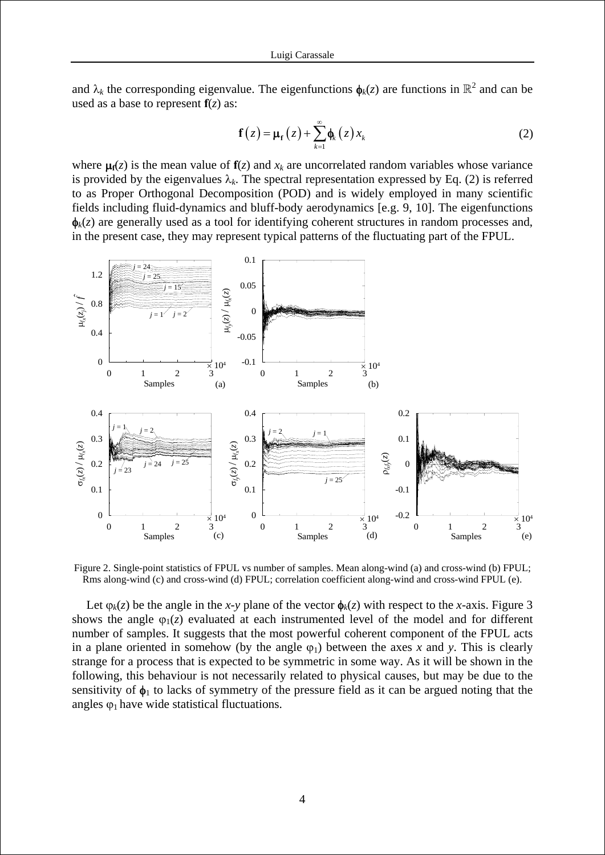<span id="page-3-0"></span>and  $\lambda_k$  the corresponding eigenvalue. The eigenfunctions  $\phi_k(z)$  are functions in  $\mathbb{R}^2$  and can be used as a base to represent  $f(z)$  as:

$$
\mathbf{f}(z) = \mathbf{\mu}_{\mathbf{f}}(z) + \sum_{k=1}^{\infty} \mathbf{\phi}_{k}(z) x_{k}
$$
 (2)

where  $\mu_0(z)$  is the mean value of  $f(z)$  and  $x_k$  are uncorrelated random variables whose variance is provided by the eigenvalues  $\lambda_k$ . The spectral representation expressed by Eq. [\(2\)](#page-3-0) is referred to as Proper Orthogonal Decomposition (POD) and is widely employed in many scientific fields including fluid-dynamics and bluff-body aerodynamics [e.g. 9, 10]. The eigenfunctions  $\phi_k(z)$  are generally used as a tool for identifying coherent structures in random processes and, in the present case, they may represent typical patterns of the fluctuating part of the FPUL.



Figure 2. Single-point statistics of FPUL vs number of samples. Mean along-wind (a) and cross-wind (b) FPUL; Rms along-wind (c) and cross-wind (d) FPUL; correlation coefficient along-wind and cross-wind FPUL (e).

Let  $\varphi_k(z)$  be the angle in the *x*-*y* plane of the vector  $\varphi_k(z)$  with respect to the *x*-axis. Figure 3 shows the angle  $\varphi_1(z)$  evaluated at each instrumented level of the model and for different number of samples. It suggests that the most powerful coherent component of the FPUL acts in a plane oriented in somehow (by the angle  $\varphi_1$ ) between the axes x and y. This is clearly strange for a process that is expected to be symmetric in some way. As it will be shown in the following, this behaviour is not necessarily related to physical causes, but may be due to the sensitivity of  $\phi_1$  to lacks of symmetry of the pressure field as it can be argued noting that the angles  $\varphi_1$  have wide statistical fluctuations.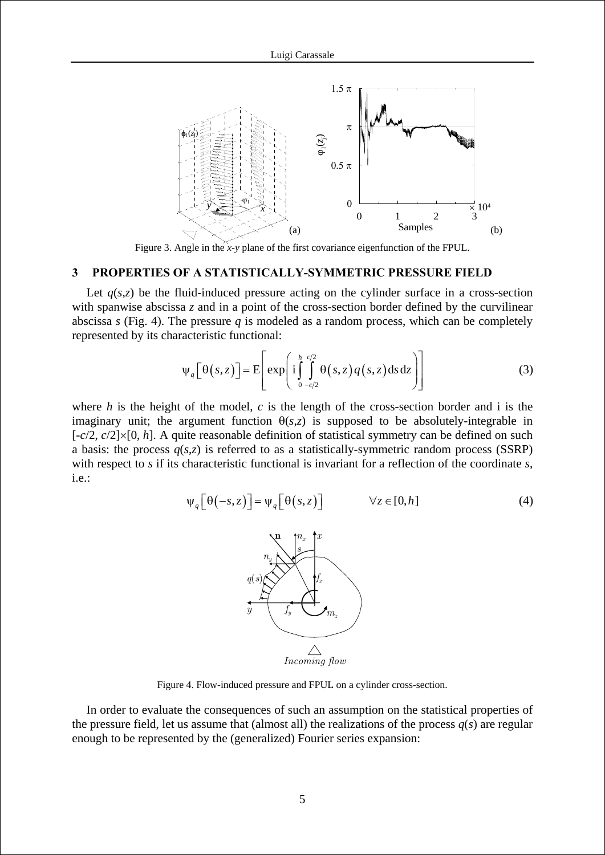

Figure 3. Angle in the *x*-*y* plane of the first covariance eigenfunction of the FPUL.

# **3 PROPERTIES OF A STATISTICALLY-SYMMETRIC PRESSURE FIELD**

Let  $q(s,z)$  be the fluid-induced pressure acting on the cylinder surface in a cross-section with spanwise abscissa *z* and in a point of the cross-section border defined by the curvilinear abscissa *s* (Fig. 4). The pressure *q* is modeled as a random process, which can be completely represented by its characteristic functional:

$$
\Psi_q\left[\Theta(s,z)\right] = \mathbf{E}\left[\exp\left(i\int_{0}^{h}\int_{-c/2}^{c/2}\Theta(s,z)q(s,z)\,ds\,dz\right)\right]
$$
(3)

<span id="page-4-1"></span><span id="page-4-0"></span>where *h* is the height of the model, *c* is the length of the cross-section border and i is the imaginary unit; the argument function  $\theta(s,z)$  is supposed to be absolutely-integrable in [-*c*/2, *c*/2]×[0, *h*]. A quite reasonable definition of statistical symmetry can be defined on such a basis: the process  $q(s,z)$  is referred to as a statistically-symmetric random process (SSRP) with respect to *s* if its characteristic functional is invariant for a reflection of the coordinate *s*, i.e.:

$$
\Psi_q\left[\Theta(-s,z)\right] = \Psi_q\left[\Theta(s,z)\right] \qquad \forall z \in [0,h] \tag{4}
$$



Figure 4. Flow-induced pressure and FPUL on a cylinder cross-section.

In order to evaluate the consequences of such an assumption on the statistical properties of the pressure field, let us assume that (almost all) the realizations of the process  $q(s)$  are regular enough to be represented by the (generalized) Fourier series expansion: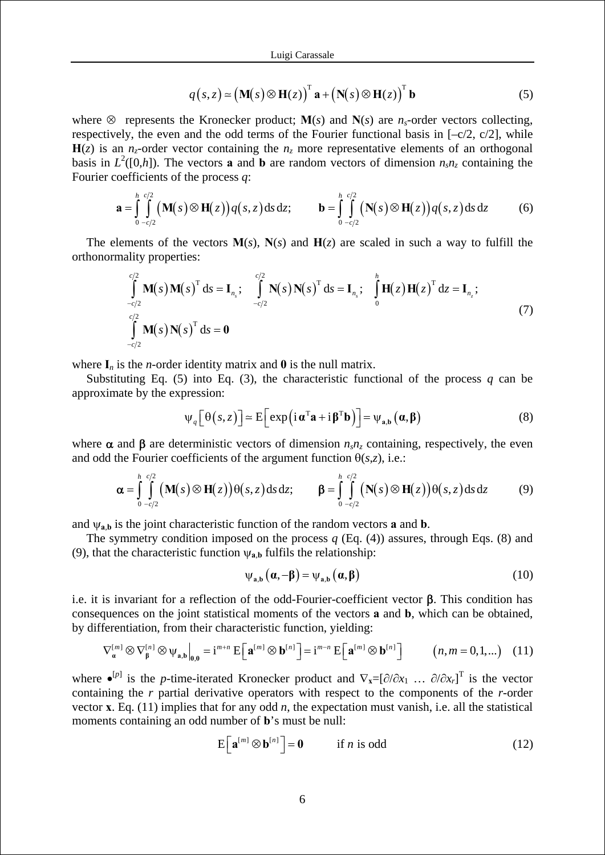$$
q(s,z) \approx (\mathbf{M}(s) \otimes \mathbf{H}(z))^{\mathrm{T}} \mathbf{a} + (\mathbf{N}(s) \otimes \mathbf{H}(z))^{\mathrm{T}} \mathbf{b}
$$
 (5)

<span id="page-5-0"></span>where  $\otimes$  represents the Kronecker product; **M**(*s*) and **N**(*s*) are *n<sub>s</sub>*-order vectors collecting, respectively, the even and the odd terms of the Fourier functional basis in  $[-c/2, c/2]$ , while  $H(z)$  is an *n<sub>z</sub>*-order vector containing the *n<sub>z</sub>* more representative elements of an orthogonal basis in  $L^2([0,h])$ . The vectors **a** and **b** are random vectors of dimension  $n_s n_z$  containing the Fourier coefficients of the process *q*:

$$
\mathbf{a} = \int_{0}^{h} \int_{-c/2}^{c/2} \left( \mathbf{M}(s) \otimes \mathbf{H}(z) \right) q(s, z) ds dz; \qquad \mathbf{b} = \int_{0}^{h} \int_{-c/2}^{c/2} \left( \mathbf{N}(s) \otimes \mathbf{H}(z) \right) q(s, z) ds dz \qquad (6)
$$

<span id="page-5-4"></span>The elements of the vectors  $M(s)$ ,  $N(s)$  and  $H(z)$  are scaled in such a way to fulfill the orthonormality properties:

$$
\int_{-c/2}^{c/2} \mathbf{M}(s) \mathbf{M}(s)^{\mathrm{T}} ds = \mathbf{I}_{n_s}; \quad \int_{-c/2}^{c/2} \mathbf{N}(s) \mathbf{N}(s)^{\mathrm{T}} ds = \mathbf{I}_{n_s}; \quad \int_{0}^{h} \mathbf{H}(z) \mathbf{H}(z)^{\mathrm{T}} dz = \mathbf{I}_{n_z};
$$
\n
$$
\int_{-c/2}^{c/2} \mathbf{M}(s) \mathbf{N}(s)^{\mathrm{T}} ds = \mathbf{0}
$$
\n(7)

where  $I_n$  is the *n*-order identity matrix and 0 is the null matrix.

Substituting Eq. [\(5\)](#page-5-0) into Eq. [\(3\)](#page-4-0), the characteristic functional of the process  $q$  can be approximate by the expression:

$$
\Psi_{q}\left[\Theta(s,z)\right] \simeq E\left[\exp\left(i\,\boldsymbol{\alpha}^{\mathrm{T}}\mathbf{a}+i\,\boldsymbol{\beta}^{\mathrm{T}}\mathbf{b}\right)\right] = \Psi_{\mathbf{a},\mathbf{b}}\left(\boldsymbol{\alpha},\boldsymbol{\beta}\right) \tag{8}
$$

<span id="page-5-2"></span><span id="page-5-1"></span>where  $\alpha$  and  $\beta$  are deterministic vectors of dimension  $n_s n_z$  containing, respectively, the even and odd the Fourier coefficients of the argument function  $\theta(s,z)$ , i.e.:

$$
\alpha = \int_{0}^{h} \int_{-c/2}^{c/2} (\mathbf{M}(s) \otimes \mathbf{H}(z)) \theta(s, z) ds dz; \qquad \beta = \int_{0}^{h} \int_{-c/2}^{c/2} (\mathbf{N}(s) \otimes \mathbf{H}(z)) \theta(s, z) ds dz \qquad (9)
$$

and  $\psi_{a,b}$  is the joint characteristic function of the random vectors **a** and **b**.

The symmetry condition imposed on the process *q* (Eq. [\(4\)](#page-4-1)) assures, through Eqs. [\(8\)](#page-5-1) and [\(9\),](#page-5-2) that the characteristic function  $\psi_{a,b}$  fulfils the relationship:

$$
\psi_{a,b}\left(\alpha,-\beta\right) = \psi_{a,b}\left(\alpha,\beta\right) \tag{10}
$$

i.e. it is invariant for a reflection of the odd-Fourier-coefficient vector β. This condition has consequences on the joint statistical moments of the vectors **a** and **b**, which can be obtained, by differentiation, from their characteristic function, yielding:

$$
\nabla_{\mathbf{a}}^{[m]} \otimes \nabla_{\mathbf{\beta}}^{[n]} \otimes \psi_{\mathbf{a},\mathbf{b}}\Big|_{0,0} = \mathbf{i}^{m+n} \mathbf{E}\Big[\mathbf{a}^{[m]} \otimes \mathbf{b}^{[n]}\Big] = \mathbf{i}^{m-n} \mathbf{E}\Big[\mathbf{a}^{[m]} \otimes \mathbf{b}^{[n]}\Big] \qquad (n,m = 0,1,...) \quad (11)
$$

<span id="page-5-5"></span><span id="page-5-3"></span>where  $\bullet^{[p]}$  is the *p*-time-iterated Kronecker product and  $\nabla_{\mathbf{x}} = [\partial/\partial x_1 \dots \partial/\partial x_r]^T$  is the vector containing the *r* partial derivative operators with respect to the components of the *r*-order vector **x**. Eq. [\(11\)](#page-5-3) implies that for any odd *n*, the expectation must vanish, i.e. all the statistical moments containing an odd number of **b**'s must be null:

$$
E\left[\mathbf{a}^{[m]} \otimes \mathbf{b}^{[n]}\right] = \mathbf{0} \qquad \text{if } n \text{ is odd} \tag{12}
$$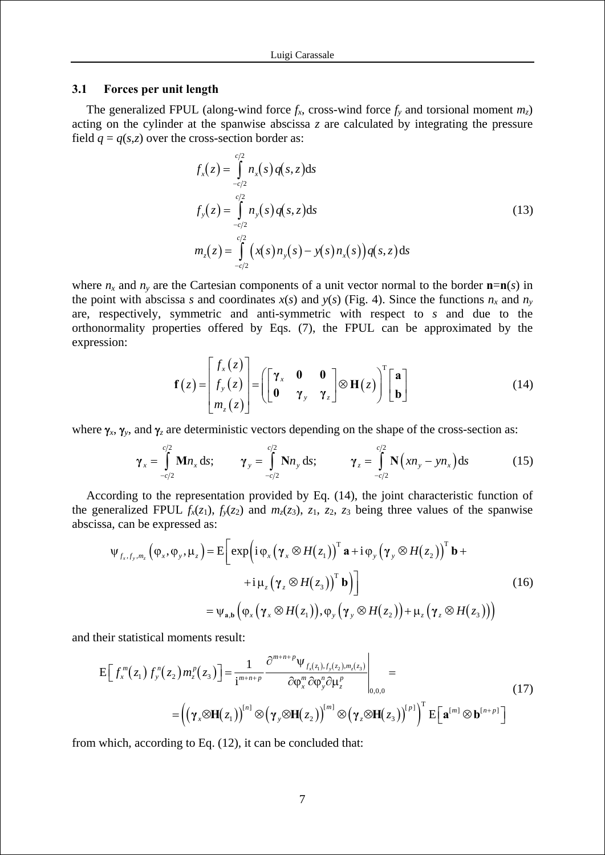#### **3.1 Forces per unit length**

The generalized FPUL (along-wind force  $f_x$ , cross-wind force  $f_y$  and torsional moment  $m_z$ ) acting on the cylinder at the spanwise abscissa *z* are calculated by integrating the pressure field  $q = q(s,z)$  over the cross-section border as:

 $\overline{1}$ 

$$
f_x(z) = \int_{-c/2}^{c/2} n_x(s) q(s, z) ds
$$
  
\n
$$
f_y(z) = \int_{-c/2}^{c/2} n_y(s) q(s, z) ds
$$
  
\n
$$
m_z(z) = \int_{-c/2}^{c/2} (x(s) n_y(s) - y(s) n_x(s)) q(s, z) ds
$$
\n(13)

where  $n_x$  and  $n_y$  are the Cartesian components of a unit vector normal to the border  $\mathbf{n}=\mathbf{n}(s)$  in the point with abscissa *s* and coordinates  $x(s)$  and  $y(s)$  (Fig. 4). Since the functions  $n_x$  and  $n_y$ are, respectively, symmetric and anti-symmetric with respect to *s* and due to the orthonormality properties offered by Eqs. [\(7\),](#page-5-4) the FPUL can be approximated by the expression:

$$
\mathbf{f}(z) = \begin{bmatrix} f_x(z) \\ f_y(z) \\ m_z(z) \end{bmatrix} = \left( \begin{bmatrix} \gamma_x & \mathbf{0} & \mathbf{0} \\ \mathbf{0} & \gamma_y & \gamma_z \end{bmatrix} \otimes \mathbf{H}(z) \right)^T \begin{bmatrix} \mathbf{a} \\ \mathbf{b} \end{bmatrix}
$$
(14)

<span id="page-6-0"></span>where  $\gamma_x$ ,  $\gamma_y$ , and  $\gamma_z$  are deterministic vectors depending on the shape of the cross-section as:

$$
\gamma_x = \int_{-c/2}^{c/2} \mathbf{M} n_x \, ds; \qquad \gamma_y = \int_{-c/2}^{c/2} \mathbf{N} n_y \, ds; \qquad \gamma_z = \int_{-c/2}^{c/2} \mathbf{N} \left( x n_y - y n_x \right) \, ds \tag{15}
$$

According to the representation provided by Eq. [\(14\)](#page-6-0), the joint characteristic function of the generalized FPUL  $f_x(z_1)$ ,  $f_y(z_2)$  and  $m_z(z_3)$ ,  $z_1$ ,  $z_2$ ,  $z_3$  being three values of the spanwise abscissa, can be expressed as:

$$
\psi_{f_x, f_y, m_z}(\varphi_x, \varphi_y, \mu_z) = E \bigg[ exp \bigg( i \varphi_x (\gamma_x \otimes H(z_1))^T \mathbf{a} + i \varphi_y (\gamma_y \otimes H(z_2))^T \mathbf{b} + i \mu_z (\gamma_z \otimes H(z_3))^T \mathbf{b} \bigg) \bigg] \n= \psi_{\mathbf{a}, \mathbf{b}} (\varphi_x (\gamma_x \otimes H(z_1)), \varphi_y (\gamma_y \otimes H(z_2)) + \mu_z (\gamma_z \otimes H(z_3)) \bigg)
$$
\n(16)

<span id="page-6-1"></span>and their statistical moments result:

$$
E\Big[f_x^m(z_1)f_y^n(z_2)m_z^p(z_3)\Big] = \frac{1}{i^{m+n+p}} \frac{\partial^{m+n+p}\Psi_{f_x(z_1),f_y(z_2),m_z(z_3)}}{\partial \varphi_x^m \partial \varphi_y^n \partial \mu_z^p} \Bigg|_{0,0,0} = \Big(\Big(\gamma_x \otimes H(z_1)\Big)^{[n]} \otimes \Big(\gamma_y \otimes H(z_2)\Big)^{[m]} \otimes \Big(\gamma_z \otimes H(z_3)\Big)^{[p]}\Big)^{\mathrm{T}} E\Big[\mathbf{a}^{[m]} \otimes \mathbf{b}^{[n+p]}\Big]
$$
(17)

from which, according to Eq. [\(12\),](#page-5-5) it can be concluded that: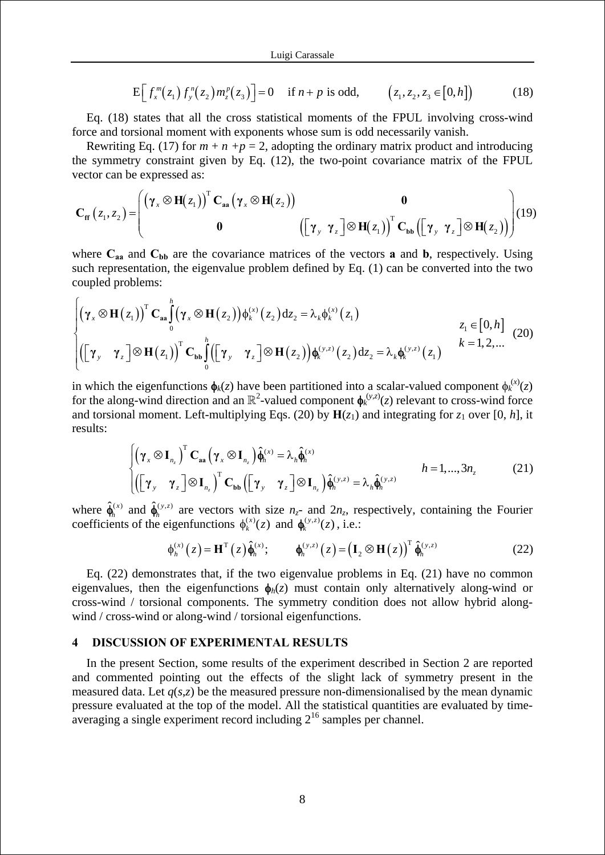$$
E\Big[f_x^m(z_1)f_y^n(z_2)m_z^p(z_3)\Big]=0 \quad \text{if } n+p \text{ is odd}, \qquad \big(z_1,z_2,z_3\in[0,h]\big) \tag{18}
$$

<span id="page-7-0"></span>Eq. [\(18\)](#page-7-0) states that all the cross statistical moments of the FPUL involving cross-wind force and torsional moment with exponents whose sum is odd necessarily vanish.

Rewriting Eq. [\(17\)](#page-6-1) for  $m + n + p = 2$ , adopting the ordinary matrix product and introducing the symmetry constraint given by Eq. [\(12\),](#page-5-5) the two-point covariance matrix of the FPUL vector can be expressed as:

$$
\mathbf{C}_{\mathbf{f}\mathbf{f}}(z_1,z_2) = \begin{pmatrix} (\gamma_x \otimes \mathbf{H}(z_1))^T \mathbf{C}_{aa} (\gamma_x \otimes \mathbf{H}(z_2)) & \mathbf{0} \\ \mathbf{0} & \left( \begin{bmatrix} \gamma_y & \gamma_z \end{bmatrix} \otimes \mathbf{H}(z_1) \right)^T \mathbf{C}_{\mathbf{b}\mathbf{b}} \left( \begin{bmatrix} \gamma_y & \gamma_z \end{bmatrix} \otimes \mathbf{H}(z_2) \right) \end{pmatrix} (19)
$$

where  $C_{aa}$  and  $C_{bb}$  are the covariance matrices of the vectors **a** and **b**, respectively. Using such representation, the eigenvalue problem defined by Eq. [\(1\)](#page-2-0) can be converted into the two coupled problems:

<span id="page-7-1"></span>
$$
\begin{cases}\n\left(\gamma_x \otimes \mathbf{H}(z_1)\right)^{\mathrm{T}} \mathbf{C}_{\mathbf{aa}} \int_0^h \left(\gamma_x \otimes \mathbf{H}(z_2)\right) \phi_k^{(x)}(z_2) dz_2 = \lambda_k \phi_k^{(x)}(z_1) & z_1 \in [0, h] \\
\left(\begin{bmatrix} \gamma_y & \gamma_z \end{bmatrix} \otimes \mathbf{H}(z_1)\right)^{\mathrm{T}} \mathbf{C}_{\mathbf{bb}} \int_0^h \left(\begin{bmatrix} \gamma_y & \gamma_z \end{bmatrix} \otimes \mathbf{H}(z_2)\right) \phi_k^{(y,z)}(z_2) dz_2 = \lambda_k \phi_k^{(y,z)}(z_1) & k = 1, 2, \dots\n\end{cases}
$$
\n(20)

in which the eigenfunctions  $\phi_k(z)$  have been partitioned into a scalar-valued component  $\phi_k^{(x)}(z)$ for the along-wind direction and an  $\mathbb{R}^2$ -valued component  $\phi_k^{(y,z)}(z)$  relevant to cross-wind force and torsional moment. Left-multiplying Eqs. [\(20\)](#page-7-1) by  $H(z_1)$  and integrating for  $z_1$  over [0, *h*], it results:

$$
\begin{cases}\n\left(\gamma_{x} \otimes \mathbf{I}_{n_{z}}\right)^{T} \mathbf{C}_{aa} \left(\gamma_{x} \otimes \mathbf{I}_{n_{z}}\right) \hat{\boldsymbol{\phi}}_{h}^{(x)} = \lambda_{h} \hat{\boldsymbol{\phi}}_{h}^{(x)} \\
\left(\begin{bmatrix} \gamma_{y} & \gamma_{z} \end{bmatrix} \otimes \mathbf{I}_{n_{z}}\right)^{T} \mathbf{C}_{bb} \left(\begin{bmatrix} \gamma_{y} & \gamma_{z} \end{bmatrix} \otimes \mathbf{I}_{n_{z}}\right) \hat{\boldsymbol{\phi}}_{h}^{(y,z)} = \lambda_{h} \hat{\boldsymbol{\phi}}_{h}^{(y,z)}\n\end{cases}\n\tag{21}
$$

<span id="page-7-3"></span>where  $\hat{\phi}_h^{(x)}$  and  $\hat{\phi}_h^{(y,z)}$  are vectors with size  $n_z$ - and  $2n_z$ , respectively, containing the Fourier coefficients of the eigenfunctions  $\phi_k^{(x)}(z)$  and  $\phi_k^{(y,z)}(z)$ , i.e.:

$$
\phi_h^{(x)}(z) = \mathbf{H}^{\mathrm{T}}(z)\hat{\phi}_h^{(x)}; \qquad \phi_h^{(y,z)}(z) = \left(\mathbf{I}_2 \otimes \mathbf{H}(z)\right)^{\mathrm{T}}\hat{\phi}_h^{(y,z)}
$$
(22)

<span id="page-7-2"></span>Eq. [\(22\)](#page-7-2) demonstrates that, if the two eigenvalue problems in Eq. [\(21\)](#page-7-3) have no common eigenvalues, then the eigenfunctions  $\phi_h(z)$  must contain only alternatively along-wind or cross-wind / torsional components. The symmetry condition does not allow hybrid alongwind / cross-wind or along-wind / torsional eigenfunctions.

#### **4 DISCUSSION OF EXPERIMENTAL RESULTS**

 $\epsilon$ 

In the present Section, some results of the experiment described in Section 2 are reported and commented pointing out the effects of the slight lack of symmetry present in the measured data. Let  $q(s,z)$  be the measured pressure non-dimensionalised by the mean dynamic pressure evaluated at the top of the model. All the statistical quantities are evaluated by time- $\alpha$  averaging a single experiment record including  $2^{16}$  samples per channel.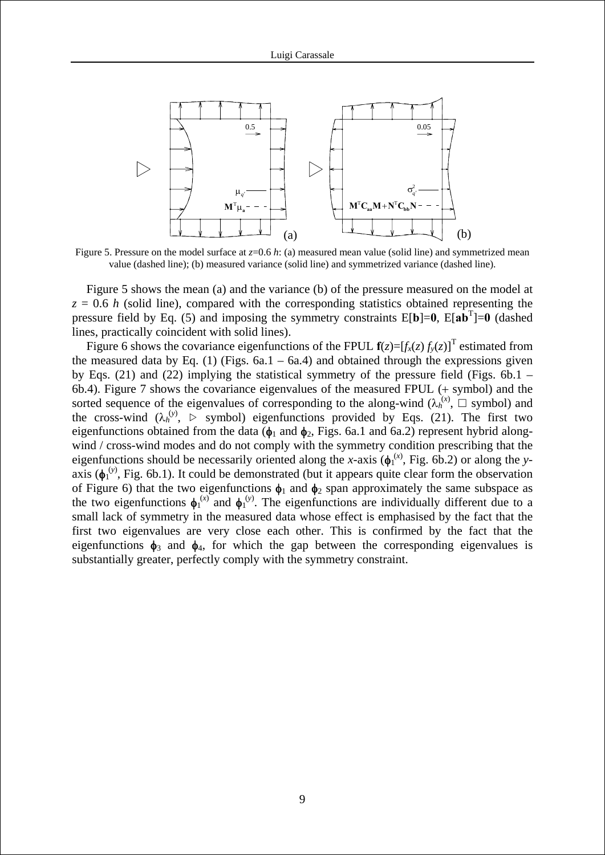

Figure 5. Pressure on the model surface at *z*=0.6 *h*: (a) measured mean value (solid line) and symmetrized mean value (dashed line); (b) measured variance (solid line) and symmetrized variance (dashed line).

Figure 5 shows the mean (a) and the variance (b) of the pressure measured on the model at  $z = 0.6$  *h* (solid line), compared with the corresponding statistics obtained representing the pressure field by Eq. [\(5\)](#page-5-0) and imposing the symmetry constraints  $E[\mathbf{b}]=0$ ,  $E[\mathbf{a} \mathbf{b}^T]=0$  (dashed lines, practically coincident with solid lines).

Figure 6 shows the covariance eigenfunctions of the FPUL  $f(z) = [f_x(z) f_y(z)]^T$  estimated from the measured data by Eq. [\(1\)](#page-2-0) (Figs.  $6a.1 - 6a.4$ ) and obtained through the expressions given by Eqs. [\(21\)](#page-7-3) and [\(22\)](#page-7-2) implying the statistical symmetry of the pressure field (Figs. 6b.1 – 6b.4). Figure 7 shows the covariance eigenvalues of the measured FPUL (+ symbol) and the sorted sequence of the eigenvalues of corresponding to the along-wind  $(\lambda_h^{(x)}, \Box$  symbol) and the cross-wind  $(\lambda_h^{(y)}, \triangleright)$  symbol) eigenfunctions provided by Eqs. [\(21\).](#page-7-3) The first two eigenfunctions obtained from the data ( $\phi_1$  and  $\phi_2$ , Figs. 6a.1 and 6a.2) represent hybrid alongwind / cross-wind modes and do not comply with the symmetry condition prescribing that the eigenfunctions should be necessarily oriented along the *x*-axis  $(\phi_1^{(x)},$  Fig. 6b.2) or along the *y*axis ( $\phi_1^{(y)}$ , Fig. 6b.1). It could be demonstrated (but it appears quite clear form the observation of Figure 6) that the two eigenfunctions  $\phi_1$  and  $\phi_2$  span approximately the same subspace as the two eigenfunctions  $\phi_1^{(x)}$  and  $\phi_1^{(y)}$ . The eigenfunctions are individually different due to a small lack of symmetry in the measured data whose effect is emphasised by the fact that the first two eigenvalues are very close each other. This is confirmed by the fact that the eigenfunctions  $\phi_3$  and  $\phi_4$ , for which the gap between the corresponding eigenvalues is substantially greater, perfectly comply with the symmetry constraint.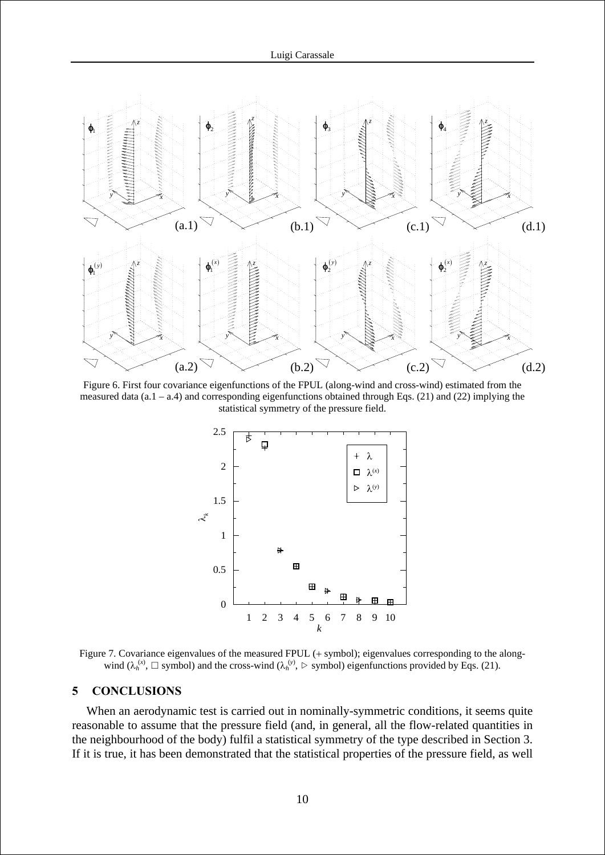

Figure 6. First four covariance eigenfunctions of the FPUL (along-wind and cross-wind) estimated from the measured data (a.1 – a.4) and corresponding eigenfunctions obtained through Eqs. [\(21\)](#page-7-3) and [\(22\)](#page-7-2) implying the statistical symmetry of the pressure field.



Figure 7. Covariance eigenvalues of the measured FPUL (+ symbol); eigenvalues corresponding to the alongwind  $(\lambda_h^{(x)}, \Box$  symbol) and the cross-wind  $(\lambda_h^{(y)}, \Box$  symbol) eigenfunctions provided by Eqs. [\(21\)](#page-7-3).

## **5 CONCLUSIONS**

When an aerodynamic test is carried out in nominally-symmetric conditions, it seems quite reasonable to assume that the pressure field (and, in general, all the flow-related quantities in the neighbourhood of the body) fulfil a statistical symmetry of the type described in Section 3. If it is true, it has been demonstrated that the statistical properties of the pressure field, as well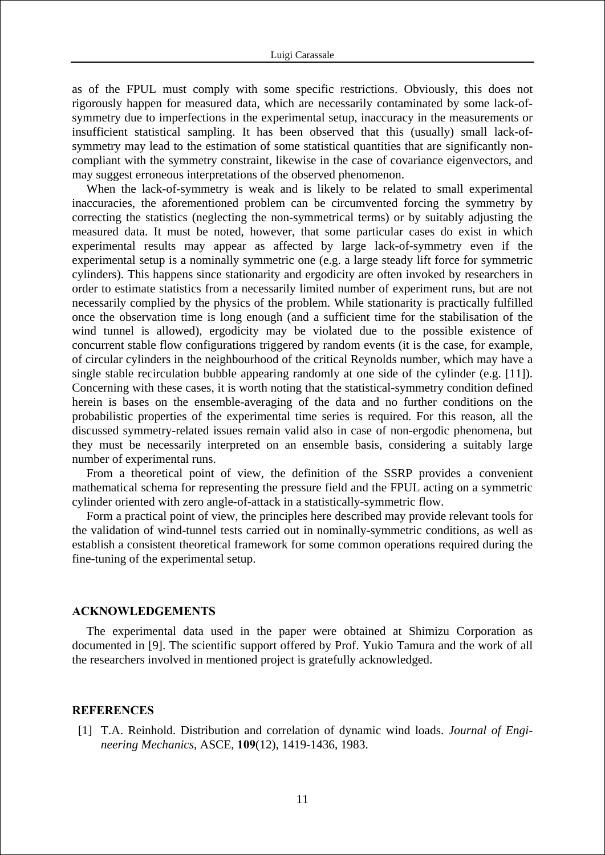as of the FPUL must comply with some specific restrictions. Obviously, this does not rigorously happen for measured data, which are necessarily contaminated by some lack-ofsymmetry due to imperfections in the experimental setup, inaccuracy in the measurements or insufficient statistical sampling. It has been observed that this (usually) small lack-ofsymmetry may lead to the estimation of some statistical quantities that are significantly noncompliant with the symmetry constraint, likewise in the case of covariance eigenvectors, and may suggest erroneous interpretations of the observed phenomenon.

When the lack-of-symmetry is weak and is likely to be related to small experimental inaccuracies, the aforementioned problem can be circumvented forcing the symmetry by correcting the statistics (neglecting the non-symmetrical terms) or by suitably adjusting the measured data. It must be noted, however, that some particular cases do exist in which experimental results may appear as affected by large lack-of-symmetry even if the experimental setup is a nominally symmetric one (e.g. a large steady lift force for symmetric cylinders). This happens since stationarity and ergodicity are often invoked by researchers in order to estimate statistics from a necessarily limited number of experiment runs, but are not necessarily complied by the physics of the problem. While stationarity is practically fulfilled once the observation time is long enough (and a sufficient time for the stabilisation of the wind tunnel is allowed), ergodicity may be violated due to the possible existence of concurrent stable flow configurations triggered by random events (it is the case, for example, of circular cylinders in the neighbourhood of the critical Reynolds number, which may have a single stable recirculation bubble appearing randomly at one side of the cylinder (e.g. [11]). Concerning with these cases, it is worth noting that the statistical-symmetry condition defined herein is bases on the ensemble-averaging of the data and no further conditions on the probabilistic properties of the experimental time series is required. For this reason, all the discussed symmetry-related issues remain valid also in case of non-ergodic phenomena, but they must be necessarily interpreted on an ensemble basis, considering a suitably large number of experimental runs.

From a theoretical point of view, the definition of the SSRP provides a convenient mathematical schema for representing the pressure field and the FPUL acting on a symmetric cylinder oriented with zero angle-of-attack in a statistically-symmetric flow.

Form a practical point of view, the principles here described may provide relevant tools for the validation of wind-tunnel tests carried out in nominally-symmetric conditions, as well as establish a consistent theoretical framework for some common operations required during the fine-tuning of the experimental setup.

#### **ACKNOWLEDGEMENTS**

The experimental data used in the paper were obtained at Shimizu Corporation as documented in [9]. The scientific support offered by Prof. Yukio Tamura and the work of all the researchers involved in mentioned project is gratefully acknowledged.

## **REFERENCES**

[1] T.A. Reinhold. Distribution and correlation of dynamic wind loads. *Journal of Engineering Mechanics*, ASCE, **109**(12), 1419-1436, 1983.